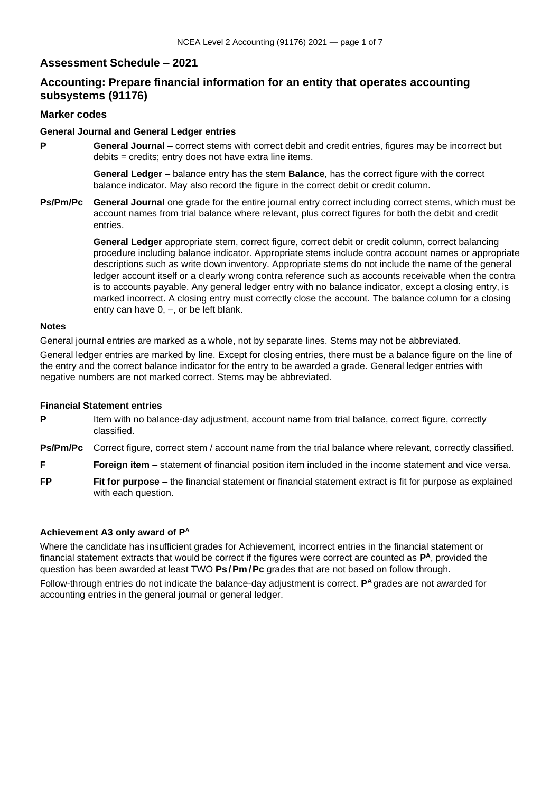## **Assessment Schedule – 2021**

# **Accounting: Prepare financial information for an entity that operates accounting subsystems (91176)**

## **Marker codes**

#### **General Journal and General Ledger entries**

**P General Journal** – correct stems with correct debit and credit entries, figures may be incorrect but debits = credits; entry does not have extra line items.

> **General Ledger** – balance entry has the stem **Balance**, has the correct figure with the correct balance indicator. May also record the figure in the correct debit or credit column.

**Ps/Pm/Pc General Journal** one grade for the entire journal entry correct including correct stems, which must be account names from trial balance where relevant, plus correct figures for both the debit and credit entries.

> **General Ledger** appropriate stem, correct figure, correct debit or credit column, correct balancing procedure including balance indicator. Appropriate stems include contra account names or appropriate descriptions such as write down inventory. Appropriate stems do not include the name of the general ledger account itself or a clearly wrong contra reference such as accounts receivable when the contra is to accounts payable. Any general ledger entry with no balance indicator, except a closing entry, is marked incorrect. A closing entry must correctly close the account. The balance column for a closing entry can have 0, –, or be left blank.

#### **Notes**

General journal entries are marked as a whole, not by separate lines. Stems may not be abbreviated.

General ledger entries are marked by line. Except for closing entries, there must be a balance figure on the line of the entry and the correct balance indicator for the entry to be awarded a grade. General ledger entries with negative numbers are not marked correct. Stems may be abbreviated.

## **Financial Statement entries**

**P** Item with no balance-day adjustment, account name from trial balance, correct figure, correctly classified.

**Ps/Pm/Pc** Correct figure, correct stem / account name from the trial balance where relevant, correctly classified.

**F Foreign item** – statement of financial position item included in the income statement and vice versa.

**FP Fit for purpose** – the financial statement or financial statement extract is fit for purpose as explained with each question.

## **Achievement A3 only award of P A**

Where the candidate has insufficient grades for Achievement, incorrect entries in the financial statement or financial statement extracts that would be correct if the figures were correct are counted as **P <sup>A</sup>**, provided the question has been awarded at least TWO **Ps/Pm /Pc** grades that are not based on follow through.

Follow-through entries do not indicate the balance-day adjustment is correct. **P**<sup>A</sup> grades are not awarded for accounting entries in the general journal or general ledger.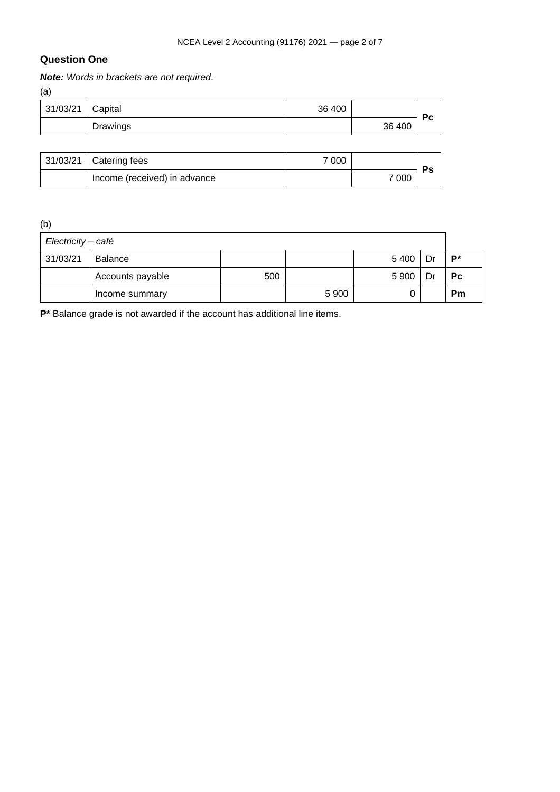# **Question One**

*Note: Words in brackets are not required*.

(a)

| $\cdot$ $\cdot$  |          |        |        |                |
|------------------|----------|--------|--------|----------------|
| 31/03/21 Capital |          | 36 400 |        | P <sub>C</sub> |
|                  | Drawings |        | 36 400 |                |

| 31/03/21   Catering fees     | 7 000 |       | Ps |
|------------------------------|-------|-------|----|
| Income (received) in advance |       | 7 000 |    |

(b)

| Electricity - café |                  |     |         |         |    |           |  |
|--------------------|------------------|-----|---------|---------|----|-----------|--|
| 31/03/21           | Balance          |     |         | 5 4 0 0 | Dr | $P^*$     |  |
|                    | Accounts payable | 500 |         | 5 9 0 0 | Dr | <b>Pc</b> |  |
|                    | Income summary   |     | 5 9 0 0 |         |    | Pm        |  |

**P\*** Balance grade is not awarded if the account has additional line items.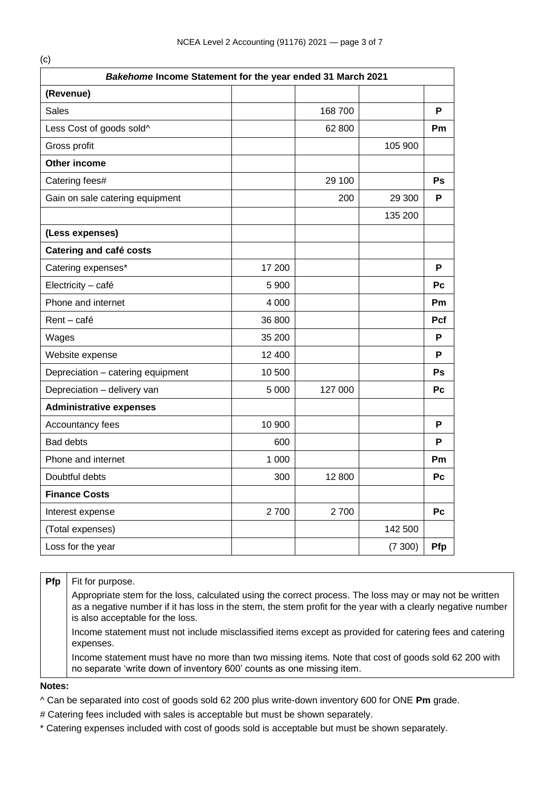| Bakehome Income Statement for the year ended 31 March 2021 |         |         |         |           |  |  |  |
|------------------------------------------------------------|---------|---------|---------|-----------|--|--|--|
| (Revenue)                                                  |         |         |         |           |  |  |  |
| Sales                                                      |         | 168 700 |         | P         |  |  |  |
| Less Cost of goods sold^                                   |         | 62 800  |         | Pm        |  |  |  |
| Gross profit                                               |         |         | 105 900 |           |  |  |  |
| Other income                                               |         |         |         |           |  |  |  |
| Catering fees#                                             |         | 29 100  |         | Ps        |  |  |  |
| Gain on sale catering equipment                            |         | 200     | 29 300  | P         |  |  |  |
|                                                            |         |         | 135 200 |           |  |  |  |
| (Less expenses)                                            |         |         |         |           |  |  |  |
| <b>Catering and café costs</b>                             |         |         |         |           |  |  |  |
| Catering expenses*                                         | 17 200  |         |         | P         |  |  |  |
| Electricity - café                                         | 5 9 0 0 |         |         | Pc        |  |  |  |
| Phone and internet                                         | 4 0 0 0 |         |         | <b>Pm</b> |  |  |  |
| Rent - café                                                | 36 800  |         |         | Pcf       |  |  |  |
| Wages                                                      | 35 200  |         |         | P         |  |  |  |
| Website expense                                            | 12 400  |         |         | P         |  |  |  |
| Depreciation - catering equipment                          | 10 500  |         |         | Ps        |  |  |  |
| Depreciation - delivery van                                | 5 0 0 0 | 127 000 |         | Pc        |  |  |  |
| <b>Administrative expenses</b>                             |         |         |         |           |  |  |  |
| Accountancy fees                                           | 10 900  |         |         | P         |  |  |  |
| <b>Bad debts</b>                                           | 600     |         |         | Ρ         |  |  |  |
| Phone and internet                                         | 1 0 0 0 |         |         | <b>Pm</b> |  |  |  |
| Doubtful debts                                             | 300     | 12 800  |         | Pc        |  |  |  |
| <b>Finance Costs</b>                                       |         |         |         |           |  |  |  |
| Interest expense                                           | 2700    | 2700    |         | Pc        |  |  |  |
| (Total expenses)                                           |         |         | 142 500 |           |  |  |  |
| Loss for the year                                          |         |         | (7300)  | Pfp       |  |  |  |

#### **Pfp** Fit for purpose.

Appropriate stem for the loss, calculated using the correct process. The loss may or may not be written as a negative number if it has loss in the stem, the stem profit for the year with a clearly negative number is also acceptable for the loss.

Income statement must not include misclassified items except as provided for catering fees and catering expenses.

Income statement must have no more than two missing items. Note that cost of goods sold 62 200 with no separate 'write down of inventory 600' counts as one missing item.

#### **Notes:**

^ Can be separated into cost of goods sold 62 200 plus write-down inventory 600 for ONE **Pm** grade.

# Catering fees included with sales is acceptable but must be shown separately.

\* Catering expenses included with cost of goods sold is acceptable but must be shown separately.

(c)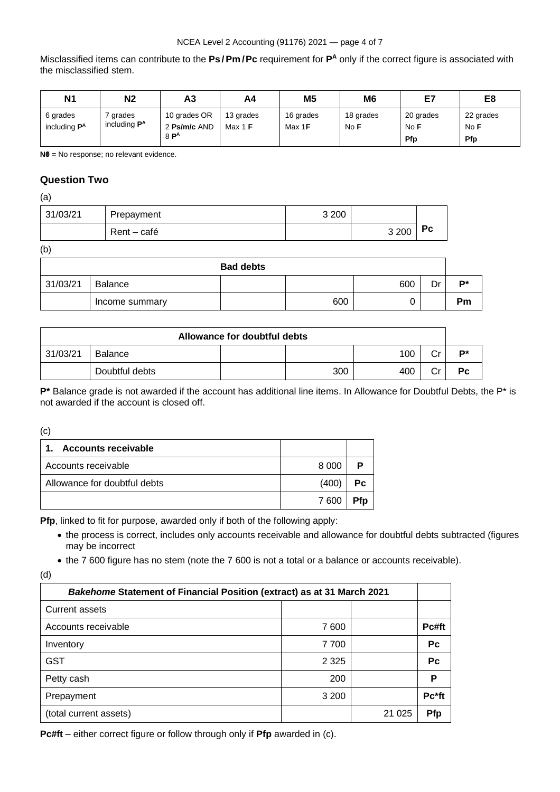## NCEA Level 2 Accounting (91176) 2021 — page 4 of 7

Misclassified items can contribute to the **Ps/Pm /Pc** requirement for **P <sup>A</sup>** only if the correct figure is associated with the misclassified stem.

| N <sub>1</sub>                             | N <sub>2</sub>                           | А3                                     | A4                     | M <sub>5</sub>      | M <sub>6</sub>    | E7                       | E8                       |
|--------------------------------------------|------------------------------------------|----------------------------------------|------------------------|---------------------|-------------------|--------------------------|--------------------------|
| 6 grades<br>including <b>P<sup>A</sup></b> | grades<br>including <b>P<sup>A</sup></b> | 10 grades OR<br>2 Ps/m/c AND<br>$8P^A$ | 13 grades<br>Max 1 $F$ | 16 grades<br>Max 1F | 18 grades<br>No F | 20 grades<br>No F<br>Pfp | 22 grades<br>No F<br>Pfp |

**N0** = No response; no relevant evidence.

## **Question Two**

(a)

| 31/03/21 | Prepayment  | 3 2 0 0 |         |           |
|----------|-------------|---------|---------|-----------|
|          | Rent – café |         | 3 2 0 0 | <b>Pc</b> |

(b)

|          |                | <b>Bad debts</b> |     |     |    |           |
|----------|----------------|------------------|-----|-----|----|-----------|
| 31/03/21 | Balance        |                  |     | 600 | Dr | D*        |
|          | Income summary |                  | 600 |     |    | <b>Pm</b> |

| Allowance for doubtful debts |                |  |     |     |               |    |
|------------------------------|----------------|--|-----|-----|---------------|----|
| 31/03/21                     | Balance        |  |     | 100 | <u>ົ</u><br>◡ | D* |
|                              | Doubtful debts |  | 300 | 400 | r.,           | Pc |

**P\*** Balance grade is not awarded if the account has additional line items. In Allowance for Doubtful Debts, the P\* is not awarded if the account is closed off.

(c)

| <b>Accounts receivable</b><br>$\mathbf{1}$ |         |    |
|--------------------------------------------|---------|----|
| Accounts receivable                        | 8 0 0 0 |    |
| Allowance for doubtful debts               | (400)   | Рc |
|                                            | 7600    |    |

**Pfp**, linked to fit for purpose, awarded only if both of the following apply:

- the process is correct, includes only accounts receivable and allowance for doubtful debts subtracted (figures may be incorrect
- the 7 600 figure has no stem (note the 7 600 is not a total or a balance or accounts receivable).

<sup>(</sup>d)

| <b>Bakehome Statement of Financial Position (extract) as at 31 March 2021</b> |         |         |           |  |  |
|-------------------------------------------------------------------------------|---------|---------|-----------|--|--|
| <b>Current assets</b>                                                         |         |         |           |  |  |
| Accounts receivable                                                           | 7 600   |         | Pc#ft     |  |  |
| Inventory                                                                     | 7700    |         | <b>Pc</b> |  |  |
| <b>GST</b>                                                                    | 2 3 2 5 |         | <b>Pc</b> |  |  |
| Petty cash                                                                    | 200     |         | Р         |  |  |
| Prepayment                                                                    | 3 200   |         | Pc*ft     |  |  |
| (total current assets)                                                        |         | 21 0 25 | Pfp       |  |  |

**Pc#ft** – either correct figure or follow through only if **Pfp** awarded in (c).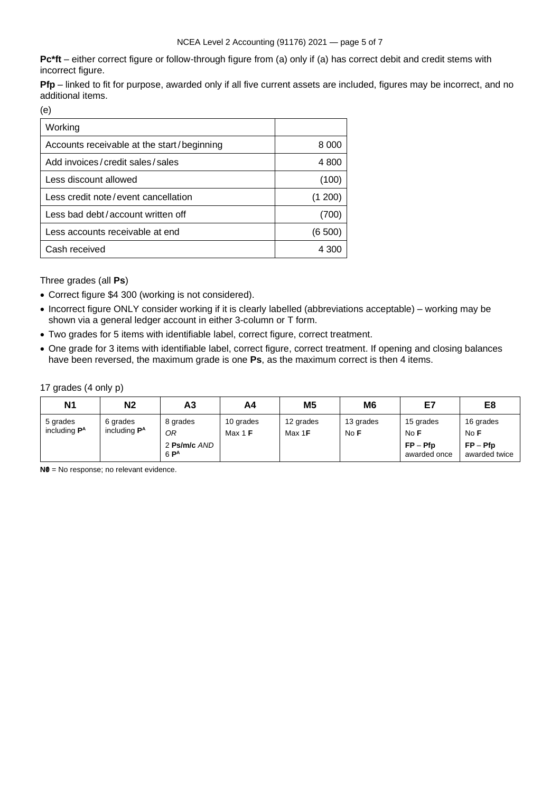**Pc\*ft** – either correct figure or follow-through figure from (a) only if (a) has correct debit and credit stems with incorrect figure.

**Pfp** – linked to fit for purpose, awarded only if all five current assets are included, figures may be incorrect, and no additional items.

(e)

| Working                                    |         |
|--------------------------------------------|---------|
| Accounts receivable at the start/beginning | 8.000   |
| Add invoices/credit sales/sales            | 4 800   |
| Less discount allowed                      | (100)   |
| Less credit note/event cancellation        | (1 200) |
| Less bad debt/account written off          | (700)   |
| Less accounts receivable at end            | (6500)  |
| Cash received                              | 4 300   |

Three grades (all **Ps**)

- Correct figure \$4 300 (working is not considered).
- Incorrect figure ONLY consider working if it is clearly labelled (abbreviations acceptable) working may be shown via a general ledger account in either 3-column or T form.
- Two grades for 5 items with identifiable label, correct figure, correct treatment.
- One grade for 3 items with identifiable label, correct figure, correct treatment. If opening and closing balances have been reversed, the maximum grade is one **Ps**, as the maximum correct is then 4 items.

17 grades (4 only p)

| N <sub>1</sub>                             | N <sub>2</sub>                              | Α3                     | A4                     | M <sub>5</sub>              | M <sub>6</sub>    | E7                         | E8                          |
|--------------------------------------------|---------------------------------------------|------------------------|------------------------|-----------------------------|-------------------|----------------------------|-----------------------------|
| 5 grades<br>including <b>P<sup>A</sup></b> | 6 grades<br>including <b>P</b> <sup>A</sup> | 8 grades<br>ОR         | 10 grades<br>Max 1 $F$ | 12 grades<br>Max 1 <b>F</b> | 13 grades<br>No F | 15 grades<br>No F          | 16 grades<br>No F           |
|                                            |                                             | 2 Ps/m/c AND<br>$6P^A$ |                        |                             |                   | $FP - Pfp$<br>awarded once | $FP - Pfp$<br>awarded twice |

**N0** = No response; no relevant evidence.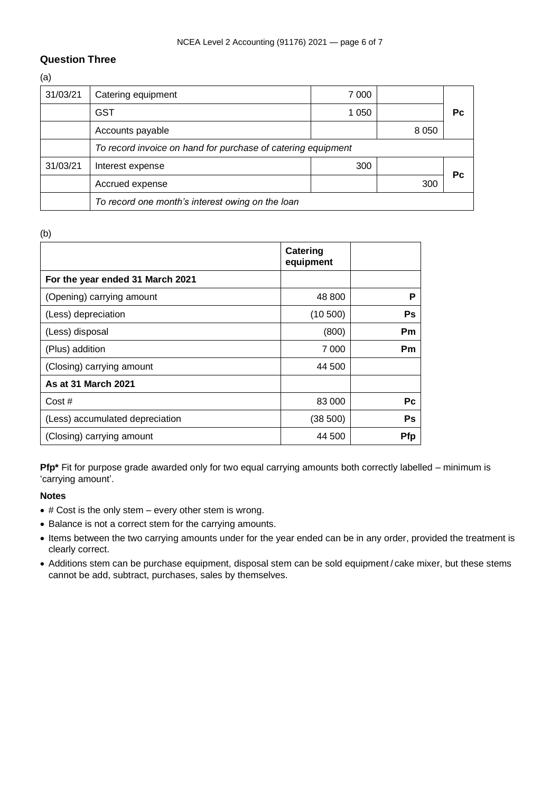# **Question Three**

(a)

| 31/03/21 | Catering equipment                                           | 7 0 0 0 |         |    |  |
|----------|--------------------------------------------------------------|---------|---------|----|--|
|          | <b>GST</b>                                                   | 1 050   |         | Pс |  |
|          | Accounts payable                                             |         | 8 0 5 0 |    |  |
|          | To record invoice on hand for purchase of catering equipment |         |         |    |  |
| 31/03/21 | Interest expense                                             | 300     |         | Рc |  |
|          | Accrued expense                                              |         | 300     |    |  |
|          | To record one month's interest owing on the loan             |         |         |    |  |

(b)

|                                  | Catering<br>equipment |            |
|----------------------------------|-----------------------|------------|
| For the year ended 31 March 2021 |                       |            |
| (Opening) carrying amount        | 48 800                | P          |
| (Less) depreciation              | (10 500)              | Ps         |
| (Less) disposal                  | (800)                 | Pm         |
| (Plus) addition                  | 7 000                 | Pm         |
| (Closing) carrying amount        | 44 500                |            |
| As at 31 March 2021              |                       |            |
| Cost#                            | 83 000                | Рc         |
| (Less) accumulated depreciation  | (38 500)              | Ps         |
| (Closing) carrying amount        | 44 500                | <b>Pfp</b> |

**Pfp\*** Fit for purpose grade awarded only for two equal carrying amounts both correctly labelled – minimum is 'carrying amount'.

## **Notes**

- # Cost is the only stem every other stem is wrong.
- Balance is not a correct stem for the carrying amounts.
- Items between the two carrying amounts under for the year ended can be in any order, provided the treatment is clearly correct.
- Additions stem can be purchase equipment, disposal stem can be sold equipment/ cake mixer, but these stems cannot be add, subtract, purchases, sales by themselves.